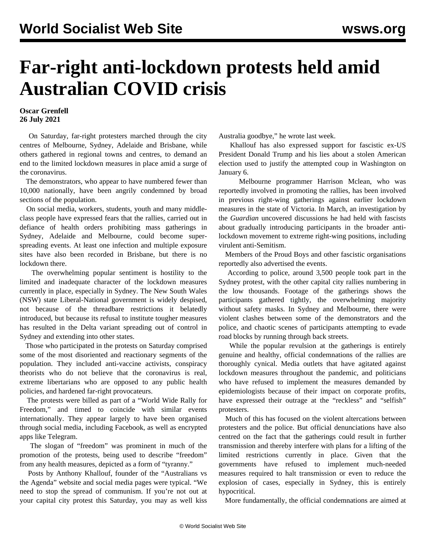## **Far-right anti-lockdown protests held amid Australian COVID crisis**

**Oscar Grenfell 26 July 2021**

 On Saturday, far-right protesters marched through the city centres of Melbourne, Sydney, Adelaide and Brisbane, while others gathered in regional towns and centres, to demand an end to the limited lockdown measures in place amid a surge of the coronavirus.

 The demonstrators, who appear to have numbered fewer than 10,000 nationally, have been angrily condemned by broad sections of the population.

 On social media, workers, students, youth and many middleclass people have expressed fears that the rallies, carried out in defiance of health orders prohibiting mass gatherings in Sydney, Adelaide and Melbourne, could become superspreading events. At least one infection and multiple exposure sites have also been recorded in Brisbane, but there is no lockdown there.

 The overwhelming popular sentiment is hostility to the limited and inadequate character of the lockdown measures currently in place, especially in Sydney. The New South Wales (NSW) state Liberal-National government is widely despised, not because of the threadbare restrictions it belatedly introduced, but because its refusal to institute tougher measures has resulted in the Delta variant spreading out of control in Sydney and extending into other states.

 Those who participated in the protests on Saturday comprised some of the most disoriented and reactionary segments of the population. They included anti-vaccine activists, conspiracy theorists who do not believe that the coronavirus is real, extreme libertarians who are opposed to any public health policies, and hardened far-right provocateurs.

 The protests were billed as part of a "World Wide Rally for Freedom," and timed to coincide with similar events internationally. They appear largely to have been organised through social media, including Facebook, as well as encrypted apps like Telegram.

 The slogan of "freedom" was prominent in much of the promotion of the protests, being used to describe "freedom" from any health measures, depicted as a form of "tyranny."

 Posts by Anthony Khallouf, founder of the "Australians vs the Agenda" website and social media pages were typical. "We need to stop the spread of communism. If you're not out at your capital city protest this Saturday, you may as well kiss Australia goodbye," he wrote last week.

 Khallouf has also expressed support for fascistic ex-US President Donald Trump and his lies about a stolen American election used to justify the attempted coup in Washington on January 6.

 Melbourne programmer Harrison Mclean, who was reportedly involved in promoting the rallies, has been involved in previous right-wing gatherings against earlier lockdown measures in the state of Victoria. In March, an investigation by the *Guardian* uncovered discussions he had held with fascists about gradually introducing participants in the broader antilockdown movement to extreme right-wing positions, including virulent anti-Semitism.

 Members of the Proud Boys and other fascistic organisations reportedly also advertised the events.

 According to police, around 3,500 people took part in the Sydney protest, with the other capital city rallies numbering in the low thousands. Footage of the gatherings shows the participants gathered tightly, the overwhelming majority without safety masks. In Sydney and Melbourne, there were violent clashes between some of the demonstrators and the police, and chaotic scenes of participants attempting to evade road blocks by running through back streets.

 While the popular revulsion at the gatherings is entirely genuine and healthy, official condemnations of the rallies are thoroughly cynical. Media outlets that have agitated against lockdown measures throughout the pandemic, and politicians who have refused to implement the measures demanded by epidemiologists because of their impact on corporate profits, have expressed their outrage at the "reckless" and "selfish" protesters.

 Much of this has focused on the violent altercations between protesters and the police. But official denunciations have also centred on the fact that the gatherings could result in further transmission and thereby interfere with plans for a lifting of the limited restrictions currently in place. Given that the governments have refused to implement much-needed measures required to halt transmission or even to reduce the explosion of cases, especially in Sydney, this is entirely hypocritical.

More fundamentally, the official condemnations are aimed at